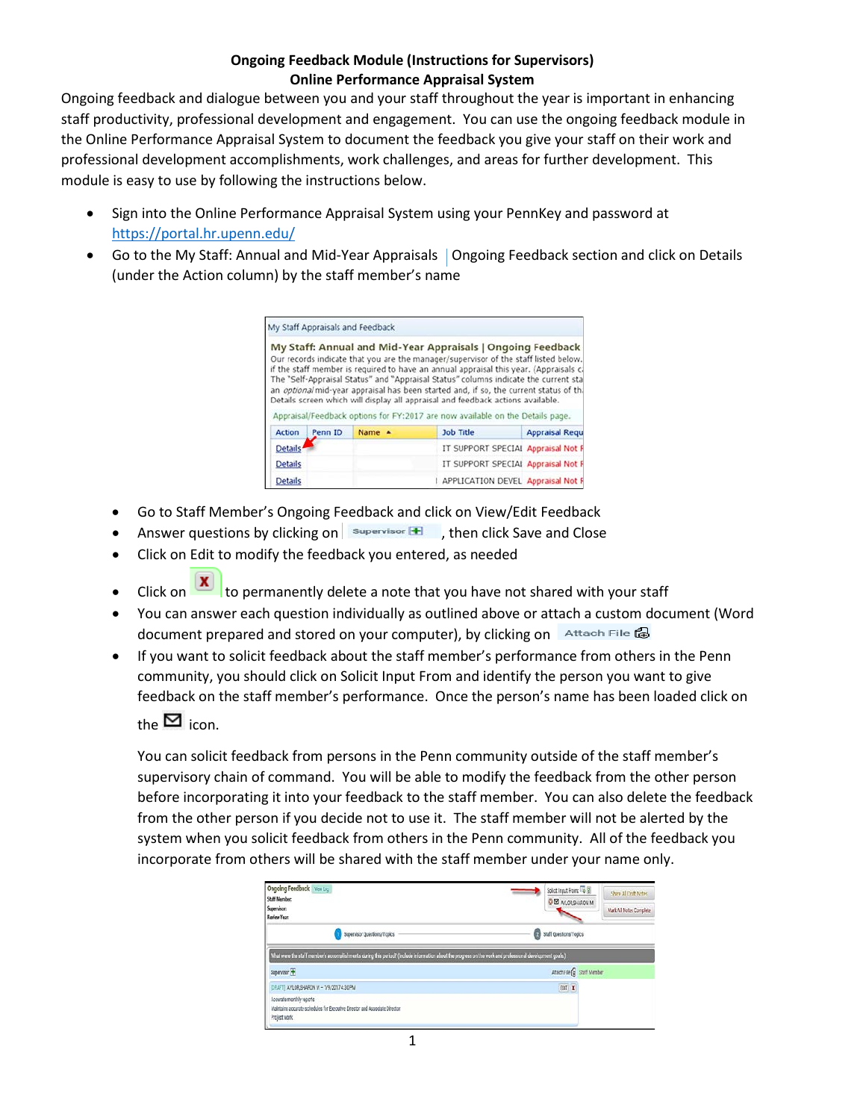## **Ongoing Feedback Module (Instructions for Supervisors) Online Performance Appraisal System**

Ongoing feedback and dialogue between you and your staff throughout the year is important in enhancing staff productivity, professional development and engagement. You can use the ongoing feedback module in the Online Performance Appraisal System to document the feedback you give your staff on their work and professional development accomplishments, work challenges, and areas for further development. This module is easy to use by following the instructions below.

- Sign into the Online Performance Appraisal System using your PennKey and password at <https://portal.hr.upenn.edu/>
- Go to the My Staff: Annual and Mid-Year Appraisals | Ongoing Feedback section and click on Details (under the Action column) by the staff member's name

|                |         | My Staff Appraisals and Feedback |                                                                                                                                                                                                                                                                                                                                                                                                                                    |                       |
|----------------|---------|----------------------------------|------------------------------------------------------------------------------------------------------------------------------------------------------------------------------------------------------------------------------------------------------------------------------------------------------------------------------------------------------------------------------------------------------------------------------------|-----------------------|
|                |         |                                  | My Staff: Annual and Mid-Year Appraisals   Ongoing Feedback<br>Our records indicate that you are the manager/supervisor of the staff listed below.<br>if the staff member is required to have an annual appraisal this year. (Appraisals c.<br>The "Self-Appraisal Status" and "Appraisal Status" columns indicate the current sta<br>an <i>optional</i> mid-year appraisal has been started and, if so, the current status of th. |                       |
|                |         |                                  | Details screen which will display all appraisal and feedback actions available.<br>Appraisal/Feedback options for FY:2017 are now available on the Details page.                                                                                                                                                                                                                                                                   |                       |
| Action         | Penn ID | Name A                           | Job Title                                                                                                                                                                                                                                                                                                                                                                                                                          | <b>Appraisal Requ</b> |
| <b>Details</b> |         |                                  | IT SUPPORT SPECIAL Appraisal Not F                                                                                                                                                                                                                                                                                                                                                                                                 |                       |
| <b>Details</b> |         |                                  | IT SUPPORT SPECIAL Appraisal Not F                                                                                                                                                                                                                                                                                                                                                                                                 |                       |

- Go to Staff Member's Ongoing Feedback and click on View/Edit Feedback
- Answer questions by clicking on  $\|\mathbf{s}_{\text{upervised}}\|$ , then click Save and Close
- Click on Edit to modify the feedback you entered, as needed
- Click on  $\boxed{\mathbf{x}}$  to permanently delete a note that you have not shared with your staff
- You can answer each question individually as outlined above or attach a custom document (Word document prepared and stored on your computer), by clicking on Attach File @
- If you want to solicit feedback about the staff member's performance from others in the Penn community, you should click on Solicit Input From and identify the person you want to give feedback on the staff member's performance. Once the person's name has been loaded click on

the  $\blacksquare$  icon.

You can solicit feedback from persons in the Penn community outside of the staff member's supervisory chain of command. You will be able to modify the feedback from the other person before incorporating it into your feedback to the staff member. You can also delete the feedback from the other person if you decide not to use it. The staff member will not be alerted by the system when you solicit feedback from others in the Penn community. All of the feedback you incorporate from others will be shared with the staff member under your name only.

| <b>Ongoing Feedback</b> Westleg<br><b>Staff Member:</b><br>Supervisor:                                                                                    | Solicit Input From To 2<br>O EX AYLORSHARON M | <b>Share All Diaft Notes</b><br>Mark All Notes Complete |  |
|-----------------------------------------------------------------------------------------------------------------------------------------------------------|-----------------------------------------------|---------------------------------------------------------|--|
| <b>Review Year:</b>                                                                                                                                       |                                               |                                                         |  |
| Supervisor Questions/Topics                                                                                                                               | Staff Questions/Topics<br>Ω                   |                                                         |  |
| What were the staff member's accomplishments during this period? (Include information about the progress on the work and professional development goals.) |                                               |                                                         |  |
| Supervisor <b>TF</b>                                                                                                                                      | Attach File C Staff Member                    |                                                         |  |
| DRAFT  AYLORSHARON M - 1/9/2017 4:30 PM                                                                                                                   | cort x                                        |                                                         |  |
| Accurate monthly reports<br>Maintains accurate schedules for Executive Director and Associate Director<br>Project work                                    |                                               |                                                         |  |